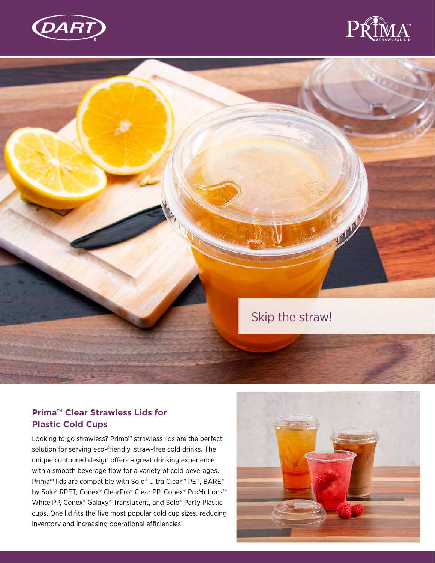



## **AND** Skip the straw!

## **Prima™ Clear Strawless Lids for Plastic Cold Cups**

Looking to go strawless? Prima™ strawless lids are the perfect solution for serving eco-friendly, straw-free cold drinks. The unique contoured design offers a great drinking experience with a smooth beverage flow for a variety of cold beverages. Prima™ lids are compatible with Solo® Ultra Clear™ PET, BARE® by Solo® RPET, Conex® ClearPro® Clear PP, Conex® ProMotions™ White PP, Conex® Galaxy® Translucent, and Solo® Party Plastic cups. One lid fits the five most popular cold cup sizes, reducing inventory and increasing operational efficiencies!